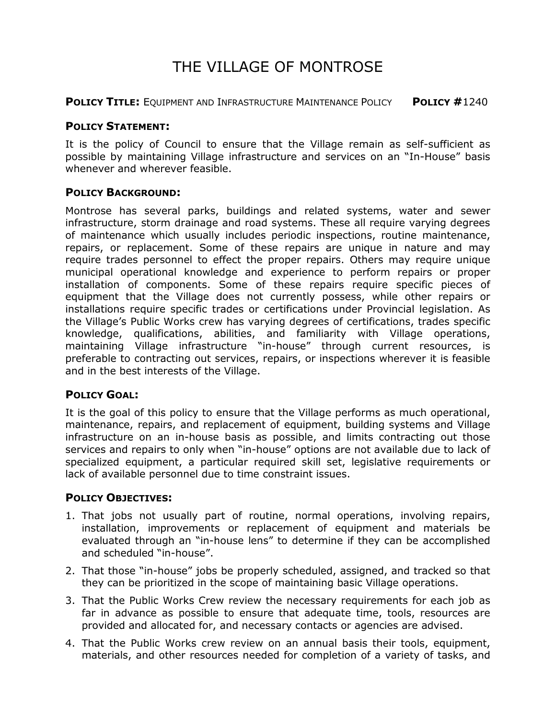# THE VILLAGE OF MONTROSE

**POLICY TITLE:** EQUIPMENT AND INFRASTRUCTURE MAINTENANCE POLICY **POLICY #**1240

### **POLICY STATEMENT:**

It is the policy of Council to ensure that the Village remain as self-sufficient as possible by maintaining Village infrastructure and services on an "In-House" basis whenever and wherever feasible.

#### **POLICY BACKGROUND:**

Montrose has several parks, buildings and related systems, water and sewer infrastructure, storm drainage and road systems. These all require varying degrees of maintenance which usually includes periodic inspections, routine maintenance, repairs, or replacement. Some of these repairs are unique in nature and may require trades personnel to effect the proper repairs. Others may require unique municipal operational knowledge and experience to perform repairs or proper installation of components. Some of these repairs require specific pieces of equipment that the Village does not currently possess, while other repairs or installations require specific trades or certifications under Provincial legislation. As the Village's Public Works crew has varying degrees of certifications, trades specific knowledge, qualifications, abilities, and familiarity with Village operations, maintaining Village infrastructure "in-house" through current resources, is preferable to contracting out services, repairs, or inspections wherever it is feasible and in the best interests of the Village.

## **POLICY GOAL:**

It is the goal of this policy to ensure that the Village performs as much operational, maintenance, repairs, and replacement of equipment, building systems and Village infrastructure on an in-house basis as possible, and limits contracting out those services and repairs to only when "in-house" options are not available due to lack of specialized equipment, a particular required skill set, legislative requirements or lack of available personnel due to time constraint issues.

## **POLICY OBJECTIVES:**

- 1. That jobs not usually part of routine, normal operations, involving repairs, installation, improvements or replacement of equipment and materials be evaluated through an "in-house lens" to determine if they can be accomplished and scheduled "in-house".
- 2. That those "in-house" jobs be properly scheduled, assigned, and tracked so that they can be prioritized in the scope of maintaining basic Village operations.
- 3. That the Public Works Crew review the necessary requirements for each job as far in advance as possible to ensure that adequate time, tools, resources are provided and allocated for, and necessary contacts or agencies are advised.
- 4. That the Public Works crew review on an annual basis their tools, equipment, materials, and other resources needed for completion of a variety of tasks, and